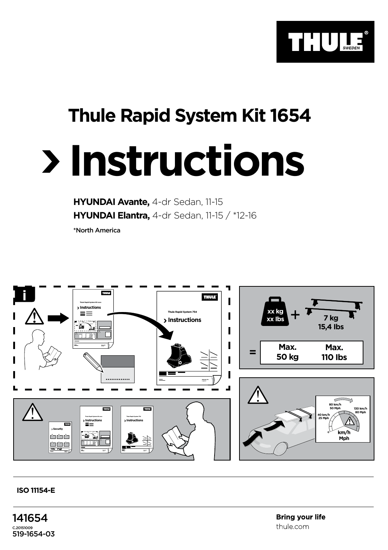

## **Thule Rapid System Kit 1654**

## **Instructions**

**HYUNDAI Avante,** 4-dr Sedan, 11-15 **HYUNDAI Elantra,** 4-dr Sedan, 11-15 / \*12-16

\*North America



## **ISO 11154-E**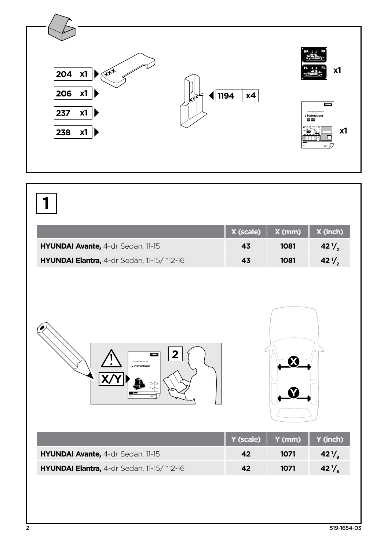

## **1**

|                                                     | $X$ (scale) $X$ (mm) $X$ (inch) |      |                    |
|-----------------------------------------------------|---------------------------------|------|--------------------|
| HYUNDAI Avante, 4-dr Sedan, 11-15                   | 43                              | 1081 | $42^{\frac{1}{2}}$ |
| <b>HYUNDAI Elantra,</b> 4-dr Sedan, 11-15/ $*12-16$ | 43                              | 1081 | $42\frac{1}{2}$    |





|                                                     | Y (scale)   Y (mm)   Y (inch) |      |                 |
|-----------------------------------------------------|-------------------------------|------|-----------------|
| HYUNDAI Avante, 4-dr Sedan, 11-15                   | 42                            | 1071 | $42\frac{1}{6}$ |
| <b>HYUNDAI Elantra,</b> 4-dr Sedan, 11-15/ $*12-16$ | 42                            | 1071 | $42\frac{1}{6}$ |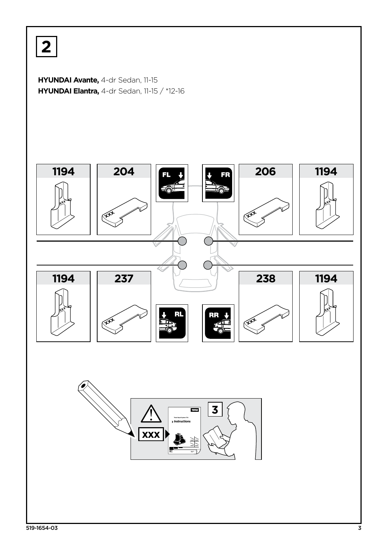